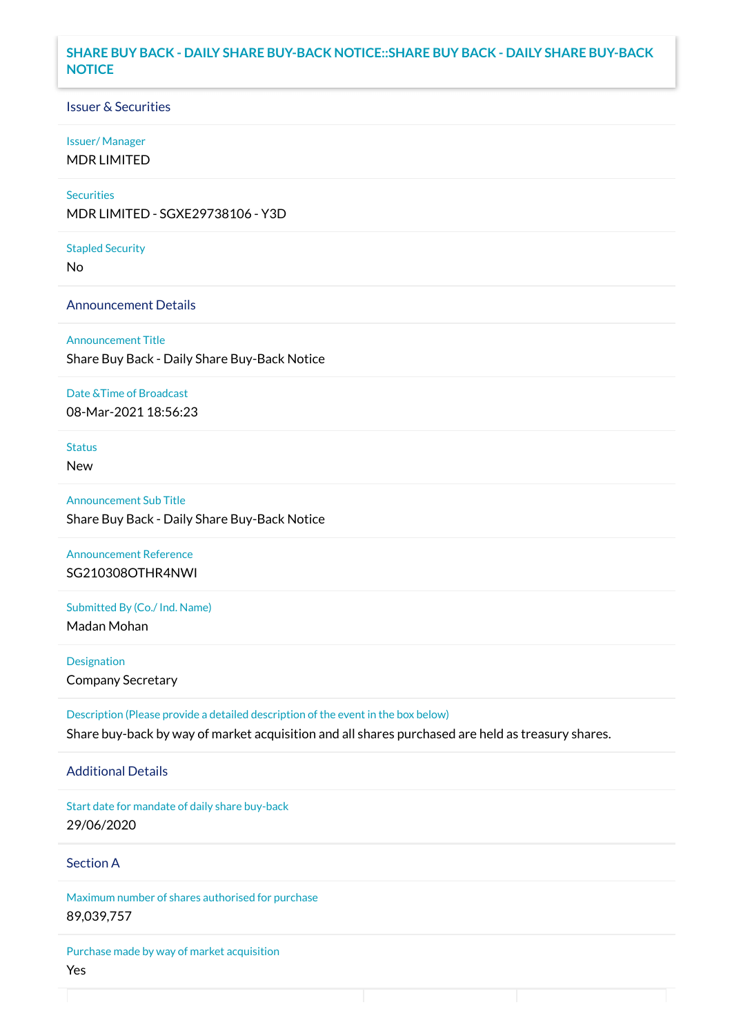### **SHARE BUY BACK - DAILY SHARE BUY-BACK NOTICE::SHARE BUY BACK - DAILY SHARE BUY-BACK NOTICE**

### Issuer & Securities

#### Issuer/ Manager

MDR LIMITED

## **Securities**

MDR LIMITED - SGXE29738106 - Y3D

#### Stapled Security

No

#### Announcement Details

Announcement Title Share Buy Back - Daily Share Buy-Back Notice

#### Date &Time of Broadcast

08-Mar-2021 18:56:23

## Status

New

# Announcement Sub Title Share Buy Back - Daily Share Buy-Back Notice

Announcement Reference SG210308OTHR4NWI

# Submitted By (Co./ Ind. Name)

Madan Mohan

**Designation** Company Secretary

Description (Please provide a detailed description of the event in the box below) Share buy-back by way of market acquisition and all shares purchased are held as treasury shares.

#### Additional Details

Start date for mandate of daily share buy-back 29/06/2020

## Section A

Maximum number of shares authorised for purchase 89,039,757

Purchase made by way of market acquisition Yes